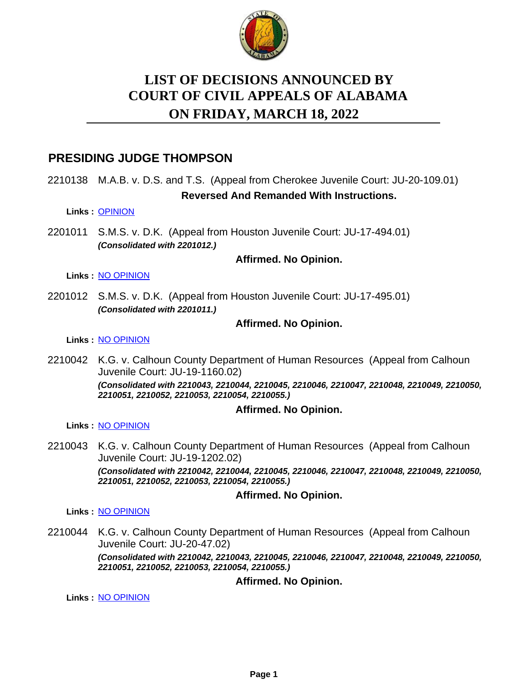

# **LIST OF DECISIONS ANNOUNCED BY ON FRIDAY, MARCH 18, 2022 COURT OF CIVIL APPEALS OF ALABAMA**

## **PRESIDING JUDGE THOMPSON**

2210138 M.A.B. v. D.S. and T.S. (Appeal from Cherokee Juvenile Court: JU-20-109.01) **Reversed And Remanded With Instructions.**

## **Links :** [OPINION](https://acis.alabama.gov/displaydocs.cfm?no=1126587&event=6AF0LBB0O)

2201011 S.M.S. v. D.K. (Appeal from Houston Juvenile Court: JU-17-494.01) *(Consolidated with 2201012.)*

## **Affirmed. No Opinion.**

**Links :** [NO OPINION](https://acis.alabama.gov/displaydocs.cfm?no=1126593&event=6AF0LBBKA)

2201012 S.M.S. v. D.K. (Appeal from Houston Juvenile Court: JU-17-495.01) *(Consolidated with 2201011.)*

## **Affirmed. No Opinion.**

**Links :** [NO OPINION](https://acis.alabama.gov/displaydocs.cfm?no=1126593&event=6AF0LBBKA)

2210042 K.G. v. Calhoun County Department of Human Resources (Appeal from Calhoun Juvenile Court: JU-19-1160.02) *(Consolidated with 2210043, 2210044, 2210045, 2210046, 2210047, 2210048, 2210049, 2210050, 2210051, 2210052, 2210053, 2210054, 2210055.)*

## **Affirmed. No Opinion.**

**Links :** [NO OPINION](https://acis.alabama.gov/displaydocs.cfm?no=1126595&event=6AF0LBBSN)

2210043 K.G. v. Calhoun County Department of Human Resources (Appeal from Calhoun Juvenile Court: JU-19-1202.02) *(Consolidated with 2210042, 2210044, 2210045, 2210046, 2210047, 2210048, 2210049, 2210050, 2210051, 2210052, 2210053, 2210054, 2210055.)*

## **Affirmed. No Opinion.**

**Links :** [NO OPINION](https://acis.alabama.gov/displaydocs.cfm?no=1126595&event=6AF0LBBSN)

2210044 K.G. v. Calhoun County Department of Human Resources (Appeal from Calhoun Juvenile Court: JU-20-47.02) *(Consolidated with 2210042, 2210043, 2210045, 2210046, 2210047, 2210048, 2210049, 2210050, 2210051, 2210052, 2210053, 2210054, 2210055.)*

## **Affirmed. No Opinion.**

**Links :** [NO OPINION](https://acis.alabama.gov/displaydocs.cfm?no=1126595&event=6AF0LBBSN)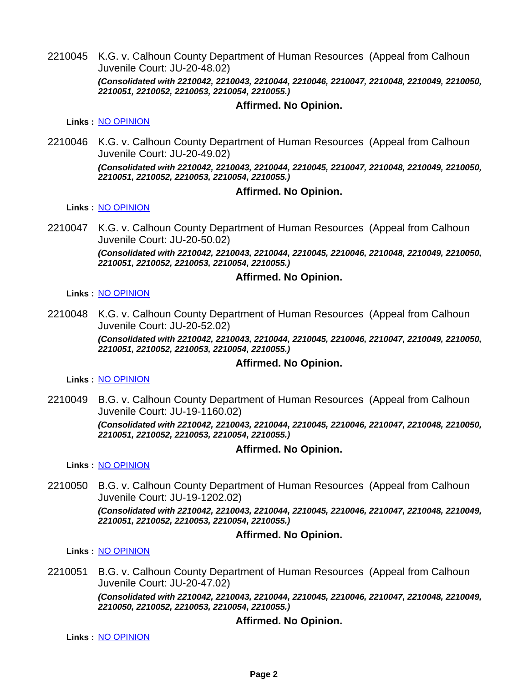2210045 K.G. v. Calhoun County Department of Human Resources (Appeal from Calhoun Juvenile Court: JU-20-48.02) *(Consolidated with 2210042, 2210043, 2210044, 2210046, 2210047, 2210048, 2210049, 2210050, 2210051, 2210052, 2210053, 2210054, 2210055.)*

#### **Affirmed. No Opinion.**

**Links :** [NO OPINION](https://acis.alabama.gov/displaydocs.cfm?no=1126595&event=6AF0LBBSN)

2210046 K.G. v. Calhoun County Department of Human Resources (Appeal from Calhoun Juvenile Court: JU-20-49.02)

> *(Consolidated with 2210042, 2210043, 2210044, 2210045, 2210047, 2210048, 2210049, 2210050, 2210051, 2210052, 2210053, 2210054, 2210055.)*

#### **Affirmed. No Opinion.**

**Links :** [NO OPINION](https://acis.alabama.gov/displaydocs.cfm?no=1126595&event=6AF0LBBSN)

2210047 K.G. v. Calhoun County Department of Human Resources (Appeal from Calhoun Juvenile Court: JU-20-50.02) *(Consolidated with 2210042, 2210043, 2210044, 2210045, 2210046, 2210048, 2210049, 2210050,*

*2210051, 2210052, 2210053, 2210054, 2210055.)*

#### **Affirmed. No Opinion.**

**Links :** [NO OPINION](https://acis.alabama.gov/displaydocs.cfm?no=1126595&event=6AF0LBBSN)

2210048 K.G. v. Calhoun County Department of Human Resources (Appeal from Calhoun Juvenile Court: JU-20-52.02)

> *(Consolidated with 2210042, 2210043, 2210044, 2210045, 2210046, 2210047, 2210049, 2210050, 2210051, 2210052, 2210053, 2210054, 2210055.)*

#### **Affirmed. No Opinion.**

**Links :** [NO OPINION](https://acis.alabama.gov/displaydocs.cfm?no=1126595&event=6AF0LBBSN)

2210049 B.G. v. Calhoun County Department of Human Resources (Appeal from Calhoun Juvenile Court: JU-19-1160.02)

> *(Consolidated with 2210042, 2210043, 2210044, 2210045, 2210046, 2210047, 2210048, 2210050, 2210051, 2210052, 2210053, 2210054, 2210055.)*

#### **Affirmed. No Opinion.**

**Links :** [NO OPINION](https://acis.alabama.gov/displaydocs.cfm?no=1126595&event=6AF0LBBSN)

2210050 B.G. v. Calhoun County Department of Human Resources (Appeal from Calhoun Juvenile Court: JU-19-1202.02)

> *(Consolidated with 2210042, 2210043, 2210044, 2210045, 2210046, 2210047, 2210048, 2210049, 2210051, 2210052, 2210053, 2210054, 2210055.)*

#### **Affirmed. No Opinion.**

**Links :** [NO OPINION](https://acis.alabama.gov/displaydocs.cfm?no=1126595&event=6AF0LBBSN)

2210051 B.G. v. Calhoun County Department of Human Resources (Appeal from Calhoun Juvenile Court: JU-20-47.02) *(Consolidated with 2210042, 2210043, 2210044, 2210045, 2210046, 2210047, 2210048, 2210049, 2210050, 2210052, 2210053, 2210054, 2210055.)*

#### **Affirmed. No Opinion.**

**Links :** [NO OPINION](https://acis.alabama.gov/displaydocs.cfm?no=1126595&event=6AF0LBBSN)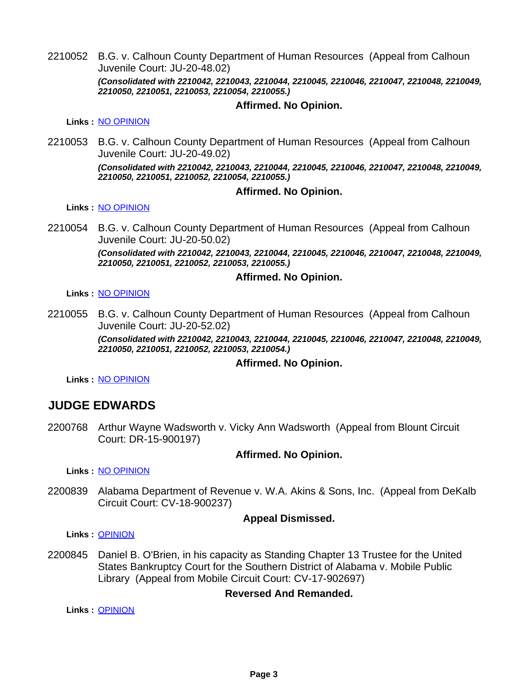2210052 B.G. v. Calhoun County Department of Human Resources (Appeal from Calhoun Juvenile Court: JU-20-48.02) *(Consolidated with 2210042, 2210043, 2210044, 2210045, 2210046, 2210047, 2210048, 2210049, 2210050, 2210051, 2210053, 2210054, 2210055.)*

### **Affirmed. No Opinion.**

**Links :** [NO OPINION](https://acis.alabama.gov/displaydocs.cfm?no=1126595&event=6AF0LBBSN)

2210053 B.G. v. Calhoun County Department of Human Resources (Appeal from Calhoun Juvenile Court: JU-20-49.02)

> *(Consolidated with 2210042, 2210043, 2210044, 2210045, 2210046, 2210047, 2210048, 2210049, 2210050, 2210051, 2210052, 2210054, 2210055.)*

#### **Affirmed. No Opinion.**

**Links :** [NO OPINION](https://acis.alabama.gov/displaydocs.cfm?no=1126595&event=6AF0LBBSN)

2210054 B.G. v. Calhoun County Department of Human Resources (Appeal from Calhoun Juvenile Court: JU-20-50.02) *(Consolidated with 2210042, 2210043, 2210044, 2210045, 2210046, 2210047, 2210048, 2210049, 2210050, 2210051, 2210052, 2210053, 2210055.)*

#### **Affirmed. No Opinion.**

**Links :** [NO OPINION](https://acis.alabama.gov/displaydocs.cfm?no=1126595&event=6AF0LBBSN)

2210055 B.G. v. Calhoun County Department of Human Resources (Appeal from Calhoun Juvenile Court: JU-20-52.02)

> *(Consolidated with 2210042, 2210043, 2210044, 2210045, 2210046, 2210047, 2210048, 2210049, 2210050, 2210051, 2210052, 2210053, 2210054.)*

#### **Affirmed. No Opinion.**

**Links :** [NO OPINION](https://acis.alabama.gov/displaydocs.cfm?no=1126595&event=6AF0LBBSN)

## **JUDGE EDWARDS**

2200768 Arthur Wayne Wadsworth v. Vicky Ann Wadsworth (Appeal from Blount Circuit Court: DR-15-900197)

#### **Affirmed. No Opinion.**

**Links :** [NO OPINION](https://acis.alabama.gov/displaydocs.cfm?no=1126591&event=6AF0LBBEG)

2200839 Alabama Department of Revenue v. W.A. Akins & Sons, Inc. (Appeal from DeKalb Circuit Court: CV-18-900237)

#### **Appeal Dismissed.**

**Links :** [OPINION](https://acis.alabama.gov/displaydocs.cfm?no=1126585&event=6AF0LBAUQ)

2200845 Daniel B. O'Brien, in his capacity as Standing Chapter 13 Trustee for the United States Bankruptcy Court for the Southern District of Alabama v. Mobile Public Library (Appeal from Mobile Circuit Court: CV-17-902697)

#### **Reversed And Remanded.**

**Links :** [OPINION](https://acis.alabama.gov/displaydocs.cfm?no=1126586&event=6AF0LBAXB)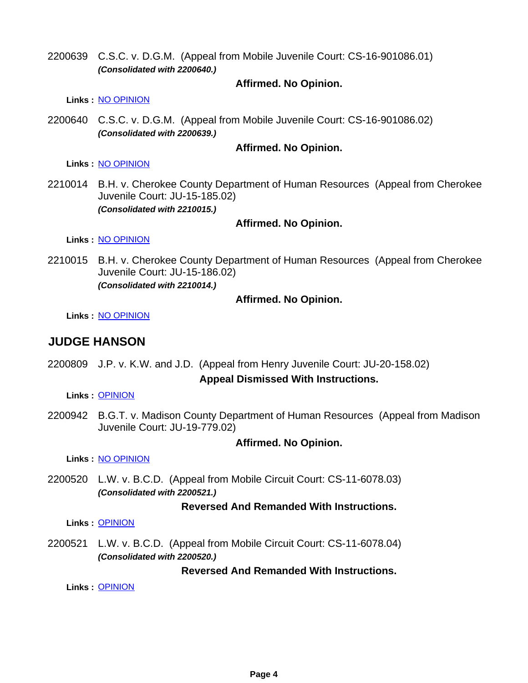2200639 C.S.C. v. D.G.M. (Appeal from Mobile Juvenile Court: CS-16-901086.01) *(Consolidated with 2200640.)*

## **Affirmed. No Opinion.**

**Links :** [NO OPINION](https://acis.alabama.gov/displaydocs.cfm?no=1126589&event=6AF0LBB63)

2200640 C.S.C. v. D.G.M. (Appeal from Mobile Juvenile Court: CS-16-901086.02) *(Consolidated with 2200639.)*

### **Affirmed. No Opinion.**

**Links :** [NO OPINION](https://acis.alabama.gov/displaydocs.cfm?no=1126589&event=6AF0LBB63)

2210014 B.H. v. Cherokee County Department of Human Resources (Appeal from Cherokee Juvenile Court: JU-15-185.02) *(Consolidated with 2210015.)*

## **Affirmed. No Opinion.**

**Links :** [NO OPINION](https://acis.alabama.gov/displaydocs.cfm?no=1126594&event=6AF0LBBOA)

2210015 B.H. v. Cherokee County Department of Human Resources (Appeal from Cherokee Juvenile Court: JU-15-186.02) *(Consolidated with 2210014.)*

## **Affirmed. No Opinion.**

**Links :** [NO OPINION](https://acis.alabama.gov/displaydocs.cfm?no=1126594&event=6AF0LBBOA)

## **JUDGE HANSON**

2200809 J.P. v. K.W. and J.D. (Appeal from Henry Juvenile Court: JU-20-158.02) **Appeal Dismissed With Instructions.**

**Links :** [OPINION](https://acis.alabama.gov/displaydocs.cfm?no=1126584&event=6AF0LBASB)

2200942 B.G.T. v. Madison County Department of Human Resources (Appeal from Madison Juvenile Court: JU-19-779.02)

#### **Affirmed. No Opinion.**

**Links :** [NO OPINION](https://acis.alabama.gov/displaydocs.cfm?no=1126592&event=6AF0LBBHC)

2200520 L.W. v. B.C.D. (Appeal from Mobile Circuit Court: CS-11-6078.03) *(Consolidated with 2200521.)*

#### **Reversed And Remanded With Instructions.**

**Links :** [OPINION](https://acis.alabama.gov/displaydocs.cfm?no=1126583&event=6AF0LBAED)

2200521 L.W. v. B.C.D. (Appeal from Mobile Circuit Court: CS-11-6078.04) *(Consolidated with 2200520.)*

## **Reversed And Remanded With Instructions.**

**Links :** [OPINION](https://acis.alabama.gov/displaydocs.cfm?no=1126583&event=6AF0LBAED)